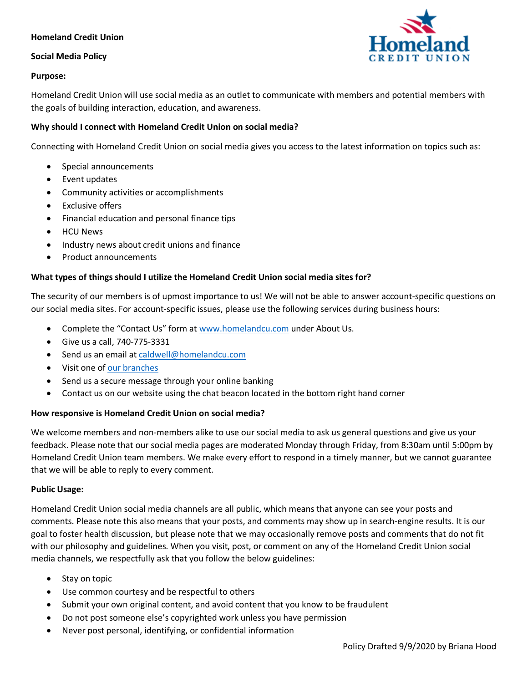# **Homeland Credit Union**

## **Social Media Policy**

## **Purpose:**

Homeland Credit Union will use social media as an outlet to communicate with members and potential members with the goals of building interaction, education, and awareness.

## **Why should I connect with Homeland Credit Union on social media?**

Connecting with Homeland Credit Union on social media gives you access to the latest information on topics such as:

- Special announcements
- Event updates
- Community activities or accomplishments
- **Exclusive offers**
- Financial education and personal finance tips
- HCU News
- Industry news about credit unions and finance
- Product announcements

### **What types of things should I utilize the Homeland Credit Union social media sites for?**

The security of our members is of upmost importance to us! We will not be able to answer account-specific questions on our social media sites. For account-specific issues, please use the following services during business hours:

- Complete the "Contact Us" form at [www.homelandcu.com](http://www.homelandcu.com/) under About Us.
- Give us a call, 740-775-3331
- Send us an email at [caldwell@homelandcu.com](mailto:caldwell@homelandcu.com)
- Visit one of [our branches](https://www.homelandcu.com/about-us/locations)
- Send us a secure message through your online banking
- Contact us on our website using the chat beacon located in the bottom right hand corner

### **How responsive is Homeland Credit Union on social media?**

We welcome members and non-members alike to use our social media to ask us general questions and give us your feedback. Please note that our social media pages are moderated Monday through Friday, from 8:30am until 5:00pm by Homeland Credit Union team members. We make every effort to respond in a timely manner, but we cannot guarantee that we will be able to reply to every comment.

### **Public Usage:**

Homeland Credit Union social media channels are all public, which means that anyone can see your posts and comments. Please note this also means that your posts, and comments may show up in search-engine results. It is our goal to foster health discussion, but please note that we may occasionally remove posts and comments that do not fit with our philosophy and guidelines. When you visit, post, or comment on any of the Homeland Credit Union social media channels, we respectfully ask that you follow the below guidelines:

- Stay on topic
- Use common courtesy and be respectful to others
- Submit your own original content, and avoid content that you know to be fraudulent
- Do not post someone else's copyrighted work unless you have permission
- Never post personal, identifying, or confidential information